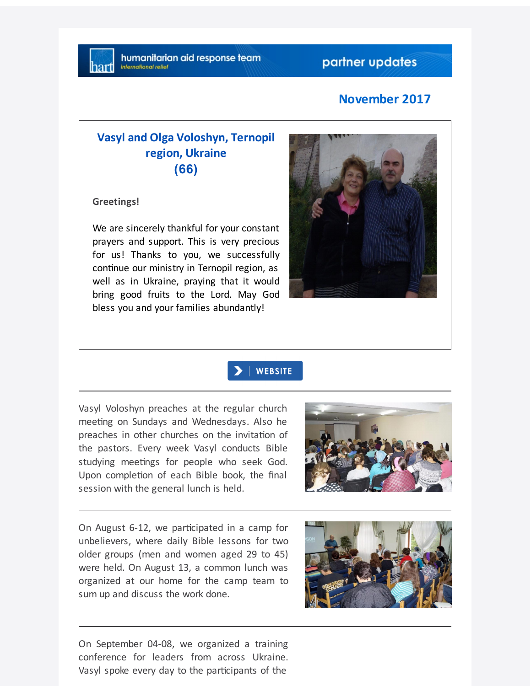## **November 2017**

## **Vasyl and Olga Voloshyn, Ternopil region, Ukraine (66)**

**Greetings!**

We are sincerely thankful for your constant prayers and support. This is very precious for us! Thanks to you, we successfully continue our ministry in Ternopil region, as well as in Ukraine, praying that it would bring good fruits to the Lord. May God bless you and your families abundantly!





Vasyl Voloshyn preaches at the regular church meeting on Sundays and Wednesdays. Also he preaches in other churches on the invitation of the pastors. Every week Vasyl conducts Bible studying meetings for people who seek God. Upon completion of each Bible book, the final session with the general lunch is held.



On August 6-12, we participated in a camp for unbelievers, where daily Bible lessons for two older groups (men and women aged 29 to 45) were held. On August 13, a common lunch was organized at our home for the camp team to sum up and discuss the work done.



On September 04-08, we organized a training conference for leaders from across Ukraine. Vasyl spoke every day to the participants of the